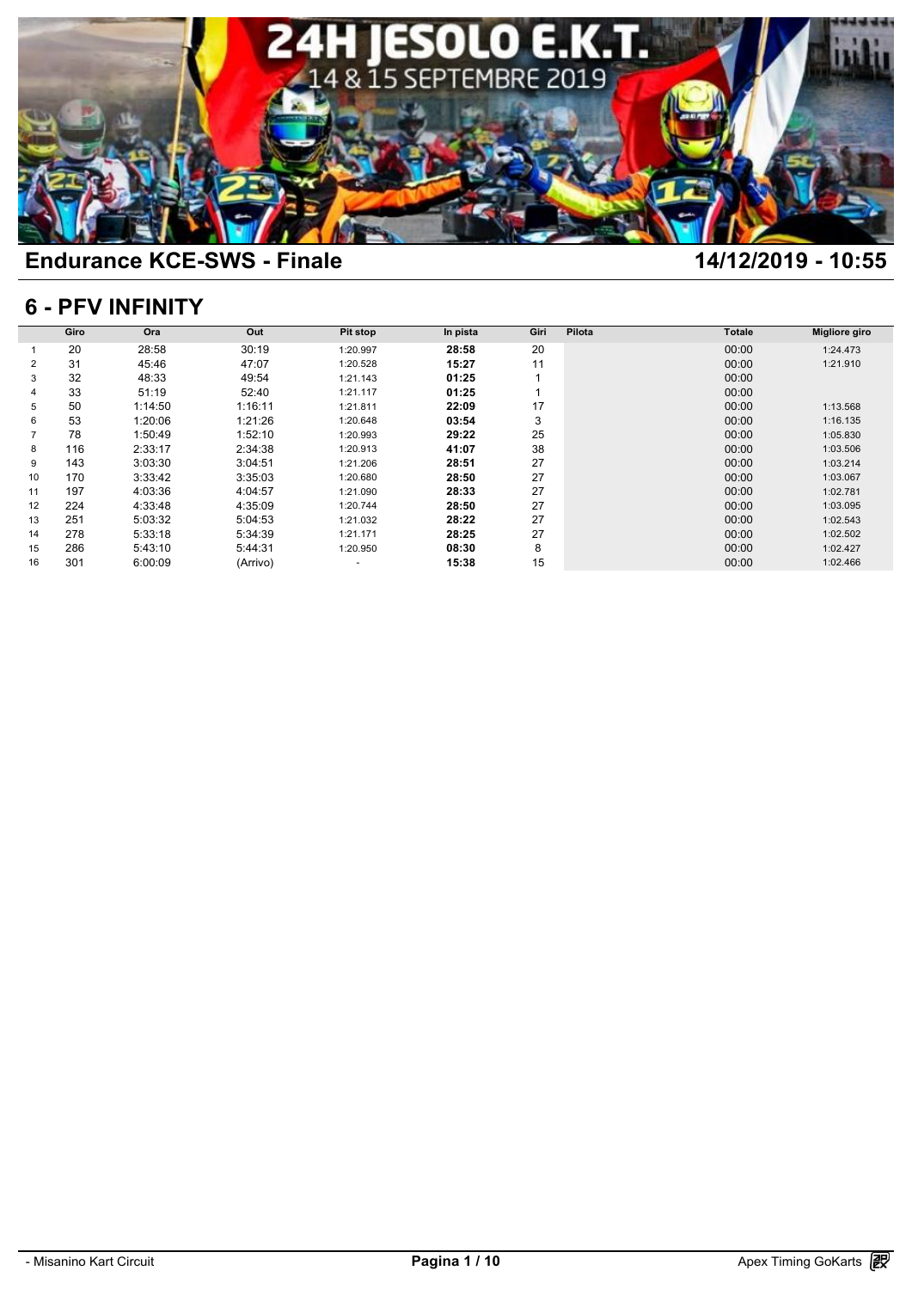

## **6 - PFV INFINITY**

|    | <b>6 - PFV INFINITY</b> |         |          |                          |          |      |        |               |                      |  |  |  |  |
|----|-------------------------|---------|----------|--------------------------|----------|------|--------|---------------|----------------------|--|--|--|--|
|    | Giro                    | Ora     | Out      | Pit stop                 | In pista | Giri | Pilota | <b>Totale</b> | <b>Migliore giro</b> |  |  |  |  |
|    | 20                      | 28:58   | 30:19    | 1:20.997                 | 28:58    | 20   |        | 00:00         | 1:24.473             |  |  |  |  |
| 2  | 31                      | 45:46   | 47:07    | 1:20.528                 | 15:27    | 11   |        | 00:00         | 1:21.910             |  |  |  |  |
| 3  | 32                      | 48:33   | 49:54    | 1:21.143                 | 01:25    |      |        | 00:00         |                      |  |  |  |  |
|    | 33                      | 51:19   | 52:40    | 1:21.117                 | 01:25    |      |        | 00:00         |                      |  |  |  |  |
| 5  | 50                      | 1:14:50 | 1:16:11  | 1:21.811                 | 22:09    | 17   |        | 00:00         | 1:13.568             |  |  |  |  |
| 6  | 53                      | 1:20:06 | 1:21:26  | 1:20.648                 | 03:54    | 3    |        | 00:00         | 1:16.135             |  |  |  |  |
|    | 78                      | 1:50:49 | 1:52:10  | 1:20.993                 | 29:22    | 25   |        | 00:00         | 1:05.830             |  |  |  |  |
| 8  | 116                     | 2:33:17 | 2:34:38  | 1:20.913                 | 41:07    | 38   |        | 00:00         | 1:03.506             |  |  |  |  |
| 9  | 143                     | 3:03:30 | 3:04:51  | 1:21.206                 | 28:51    | 27   |        | 00:00         | 1:03.214             |  |  |  |  |
| 10 | 170                     | 3:33:42 | 3:35:03  | 1:20.680                 | 28:50    | 27   |        | 00:00         | 1:03.067             |  |  |  |  |
| 11 | 197                     | 4:03:36 | 4:04:57  | 1:21.090                 | 28:33    | 27   |        | 00:00         | 1:02.781             |  |  |  |  |
| 12 | 224                     | 4:33:48 | 4:35:09  | 1:20.744                 | 28:50    | 27   |        | 00:00         | 1:03.095             |  |  |  |  |
| 13 | 251                     | 5:03:32 | 5:04:53  | 1:21.032                 | 28:22    | 27   |        | 00:00         | 1:02.543             |  |  |  |  |
| 14 | 278                     | 5:33:18 | 5:34:39  | 1:21.171                 | 28:25    | 27   |        | 00:00         | 1:02.502             |  |  |  |  |
| 15 | 286                     | 5:43:10 | 5:44:31  | 1:20.950                 | 08:30    | 8    |        | 00:00         | 1:02.427             |  |  |  |  |
| 16 | 301                     | 6:00:09 | (Arrivo) | $\overline{\phantom{a}}$ | 15:38    | 15   |        | 00:00         | 1:02.466             |  |  |  |  |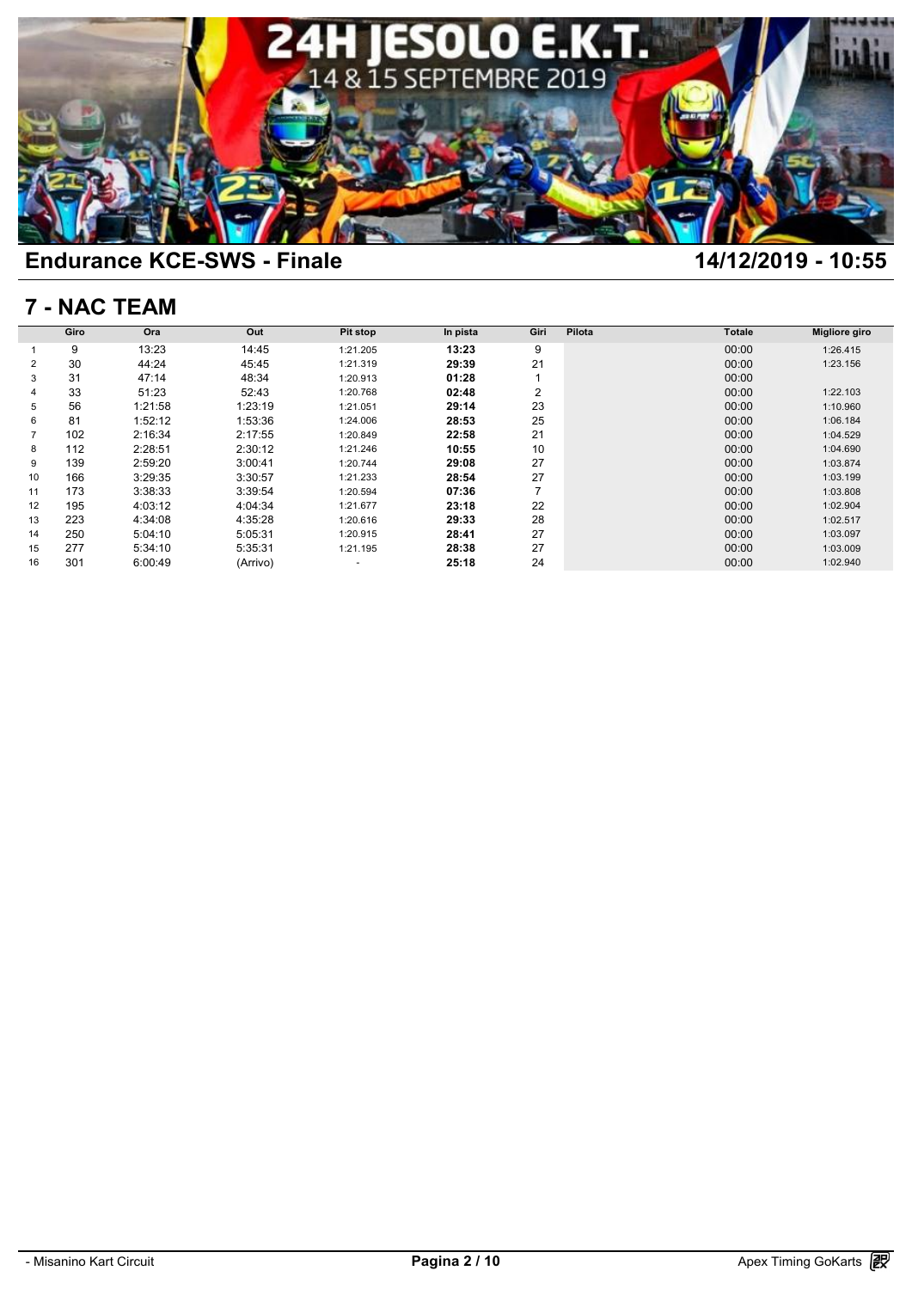

## **7 - NAC TEAM**

|    | 7 - NAC TEAM |         |          |          |          |                |        |               |               |  |  |  |  |
|----|--------------|---------|----------|----------|----------|----------------|--------|---------------|---------------|--|--|--|--|
|    | Giro         | Ora     | Out      | Pit stop | In pista | Giri           | Pilota | <b>Totale</b> | Migliore giro |  |  |  |  |
|    | 9            | 13:23   | 14:45    | 1:21.205 | 13:23    | 9              |        | 00:00         | 1:26.415      |  |  |  |  |
| 2  | 30           | 44:24   | 45:45    | 1:21.319 | 29:39    | 21             |        | 00:00         | 1:23.156      |  |  |  |  |
| 3  | 31           | 47:14   | 48:34    | 1:20.913 | 01:28    |                |        | 00:00         |               |  |  |  |  |
| 4  | 33           | 51:23   | 52:43    | 1:20.768 | 02:48    | $\overline{2}$ |        | 00:00         | 1:22.103      |  |  |  |  |
| 5  | 56           | 1:21:58 | 1:23:19  | 1:21.051 | 29:14    | 23             |        | 00:00         | 1:10.960      |  |  |  |  |
| 6  | 81           | 1:52:12 | 1:53:36  | 1:24.006 | 28:53    | 25             |        | 00:00         | 1:06.184      |  |  |  |  |
|    | 102          | 2:16:34 | 2:17:55  | 1:20.849 | 22:58    | 21             |        | 00:00         | 1:04.529      |  |  |  |  |
| 8  | 112          | 2:28:51 | 2:30:12  | 1:21.246 | 10:55    | 10             |        | 00:00         | 1:04.690      |  |  |  |  |
| 9  | 139          | 2:59:20 | 3:00:41  | 1:20.744 | 29:08    | 27             |        | 00:00         | 1:03.874      |  |  |  |  |
| 10 | 166          | 3:29:35 | 3:30:57  | 1:21.233 | 28:54    | 27             |        | 00:00         | 1:03.199      |  |  |  |  |
| 11 | 173          | 3:38:33 | 3:39:54  | 1:20.594 | 07:36    | $\overline{7}$ |        | 00:00         | 1:03.808      |  |  |  |  |
| 12 | 195          | 4:03:12 | 4:04:34  | 1:21.677 | 23:18    | 22             |        | 00:00         | 1:02.904      |  |  |  |  |
| 13 | 223          | 4:34:08 | 4:35:28  | 1:20.616 | 29:33    | 28             |        | 00:00         | 1:02.517      |  |  |  |  |
| 14 | 250          | 5:04:10 | 5:05:31  | 1:20.915 | 28:41    | 27             |        | 00:00         | 1:03.097      |  |  |  |  |
| 15 | 277          | 5:34:10 | 5:35:31  | 1:21.195 | 28:38    | 27             |        | 00:00         | 1:03.009      |  |  |  |  |
| 16 | 301          | 6:00:49 | (Arrivo) | ٠        | 25:18    | 24             |        | 00:00         | 1:02.940      |  |  |  |  |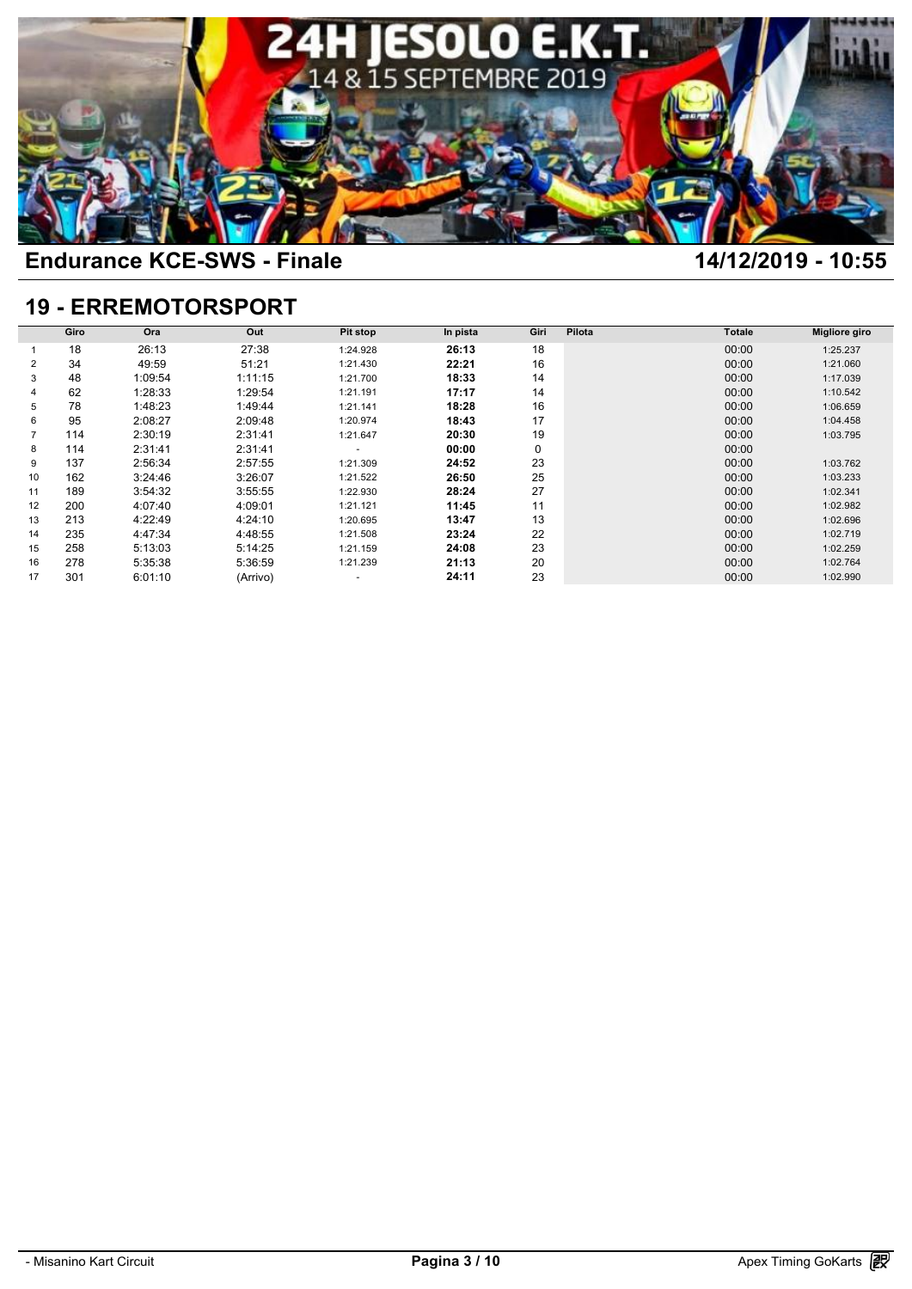

## **19 - ERREMOTORSPORT**

|    | Giro | Ora     | Out      | Pit stop | In pista | Giri | Pilota | <b>Totale</b> | Migliore giro |
|----|------|---------|----------|----------|----------|------|--------|---------------|---------------|
|    | 18   | 26:13   | 27:38    | 1:24.928 | 26:13    | 18   |        | 00:00         | 1:25.237      |
| 2  | 34   | 49:59   | 51:21    | 1:21.430 | 22:21    | 16   |        | 00:00         | 1:21.060      |
| 3  | 48   | 1:09:54 | 1:11:15  | 1:21.700 | 18:33    | 14   |        | 00:00         | 1:17.039      |
|    |      |         |          |          |          |      |        |               |               |
| 4  | 62   | 1:28:33 | 1:29:54  | 1:21.191 | 17:17    | 14   |        | 00:00         | 1:10.542      |
| 5  | 78   | 1:48:23 | 1:49:44  | 1:21.141 | 18:28    | 16   |        | 00:00         | 1:06.659      |
| 6  | 95   | 2:08:27 | 2:09:48  | 1:20.974 | 18:43    | 17   |        | 00:00         | 1:04.458      |
|    | 114  | 2:30:19 | 2:31:41  | 1:21.647 | 20:30    | 19   |        | 00:00         | 1:03.795      |
| 8  | 114  | 2:31:41 | 2:31:41  | ٠        | 00:00    | 0    |        | 00:00         |               |
| 9  | 137  | 2:56:34 | 2:57:55  | 1:21.309 | 24:52    | 23   |        | 00:00         | 1:03.762      |
| 10 | 162  | 3:24:46 | 3:26:07  | 1:21.522 | 26:50    | 25   |        | 00:00         | 1:03.233      |
| 11 | 189  | 3:54:32 | 3:55:55  | 1:22.930 | 28:24    | 27   |        | 00:00         | 1:02.341      |
| 12 | 200  | 4:07:40 | 4:09:01  | 1:21.121 | 11:45    | 11   |        | 00:00         | 1:02.982      |
| 13 | 213  | 4:22:49 | 4:24:10  | 1:20.695 | 13:47    | 13   |        | 00:00         | 1:02.696      |
| 14 | 235  | 4:47:34 | 4:48:55  | 1:21.508 | 23:24    | 22   |        | 00:00         | 1:02.719      |
| 15 | 258  | 5:13:03 | 5:14:25  | 1:21.159 | 24:08    | 23   |        | 00:00         | 1:02.259      |
| 16 | 278  | 5:35:38 | 5:36:59  | 1:21.239 | 21:13    | 20   |        | 00:00         | 1:02.764      |
| 17 | 301  | 6:01:10 | (Arrivo) | ٠        | 24:11    | 23   |        | 00:00         | 1:02.990      |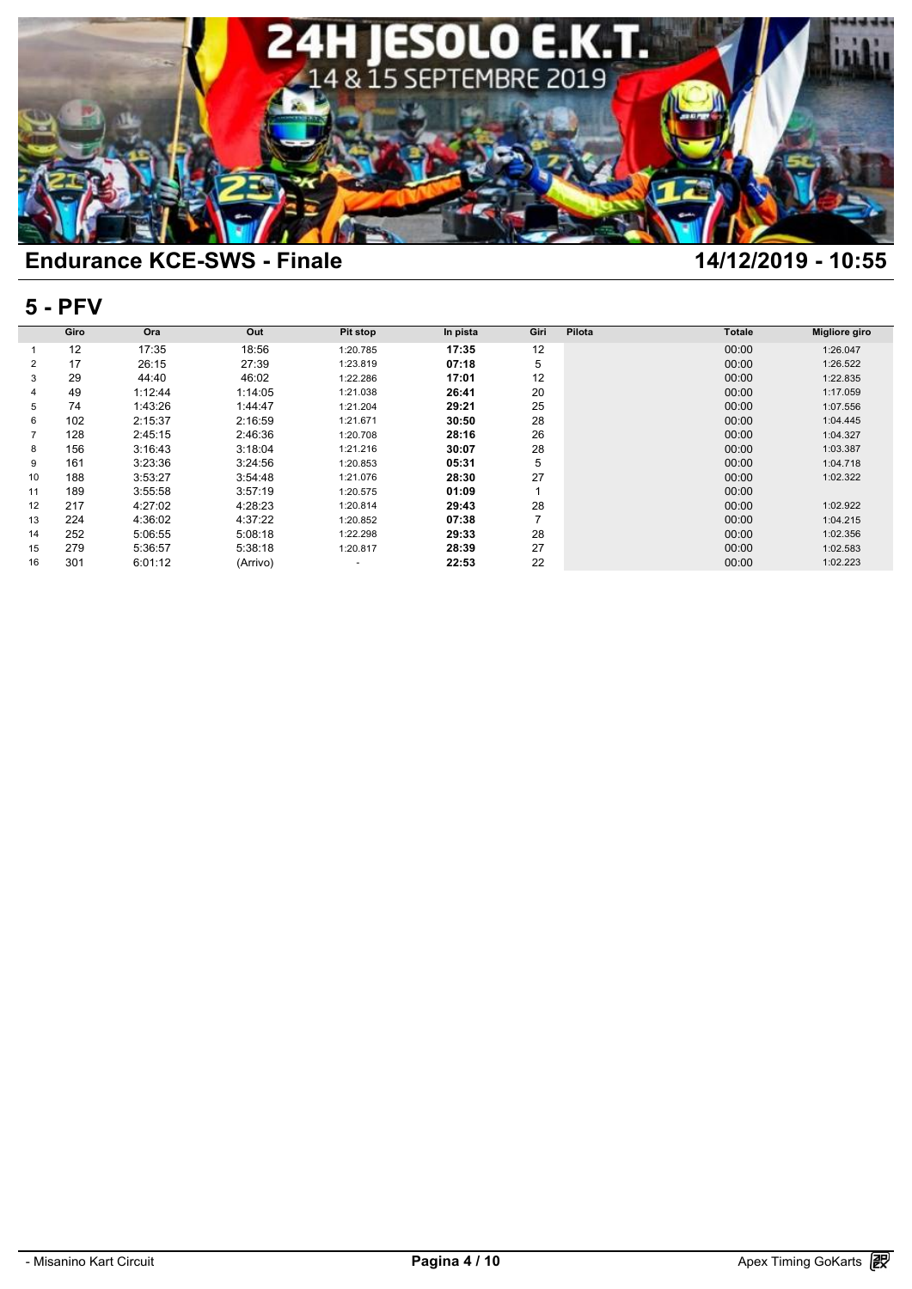

### **5 - PFV**

|                | <b>5 - PFV</b> |         |          |          |          |      |        |               |               |  |  |  |  |
|----------------|----------------|---------|----------|----------|----------|------|--------|---------------|---------------|--|--|--|--|
|                | Giro           | Ora     | Out      | Pit stop | In pista | Giri | Pilota | <b>Totale</b> | Migliore giro |  |  |  |  |
|                | 12             | 17:35   | 18:56    | 1:20.785 | 17:35    | 12   |        | 00:00         | 1:26.047      |  |  |  |  |
| 2              | 17             | 26:15   | 27:39    | 1:23.819 | 07:18    | 5    |        | 00:00         | 1:26.522      |  |  |  |  |
| 3              | 29             | 44:40   | 46:02    | 1:22.286 | 17:01    | 12   |        | 00:00         | 1:22.835      |  |  |  |  |
| 4              | 49             | 1:12:44 | 1:14:05  | 1:21.038 | 26:41    | 20   |        | 00:00         | 1:17.059      |  |  |  |  |
| 5              | 74             | 1:43:26 | 1:44:47  | 1:21.204 | 29:21    | 25   |        | 00:00         | 1:07.556      |  |  |  |  |
| 6              | 102            | 2:15:37 | 2:16:59  | 1:21.671 | 30:50    | 28   |        | 00:00         | 1:04.445      |  |  |  |  |
| $\overline{7}$ | 128            | 2:45:15 | 2:46:36  | 1:20.708 | 28:16    | 26   |        | 00:00         | 1:04.327      |  |  |  |  |
| 8              | 156            | 3:16:43 | 3:18:04  | 1:21.216 | 30:07    | 28   |        | 00:00         | 1:03.387      |  |  |  |  |
| 9              | 161            | 3:23:36 | 3:24:56  | 1:20.853 | 05:31    | 5    |        | 00:00         | 1:04.718      |  |  |  |  |
| 10             | 188            | 3:53:27 | 3:54:48  | 1:21.076 | 28:30    | 27   |        | 00:00         | 1:02.322      |  |  |  |  |
| 11             | 189            | 3:55:58 | 3:57:19  | 1:20.575 | 01:09    |      |        | 00:00         |               |  |  |  |  |
| 12             | 217            | 4:27:02 | 4:28:23  | 1:20.814 | 29:43    | 28   |        | 00:00         | 1:02.922      |  |  |  |  |
| 13             | 224            | 4:36:02 | 4:37:22  | 1:20.852 | 07:38    | 7    |        | 00:00         | 1:04.215      |  |  |  |  |
| 14             | 252            | 5:06:55 | 5:08:18  | 1:22.298 | 29:33    | 28   |        | 00:00         | 1:02.356      |  |  |  |  |
| 15             | 279            | 5:36:57 | 5:38:18  | 1:20.817 | 28:39    | 27   |        | 00:00         | 1:02.583      |  |  |  |  |
| 16             | 301            | 6:01:12 | (Arrivo) | $\sim$   | 22:53    | 22   |        | 00:00         | 1:02.223      |  |  |  |  |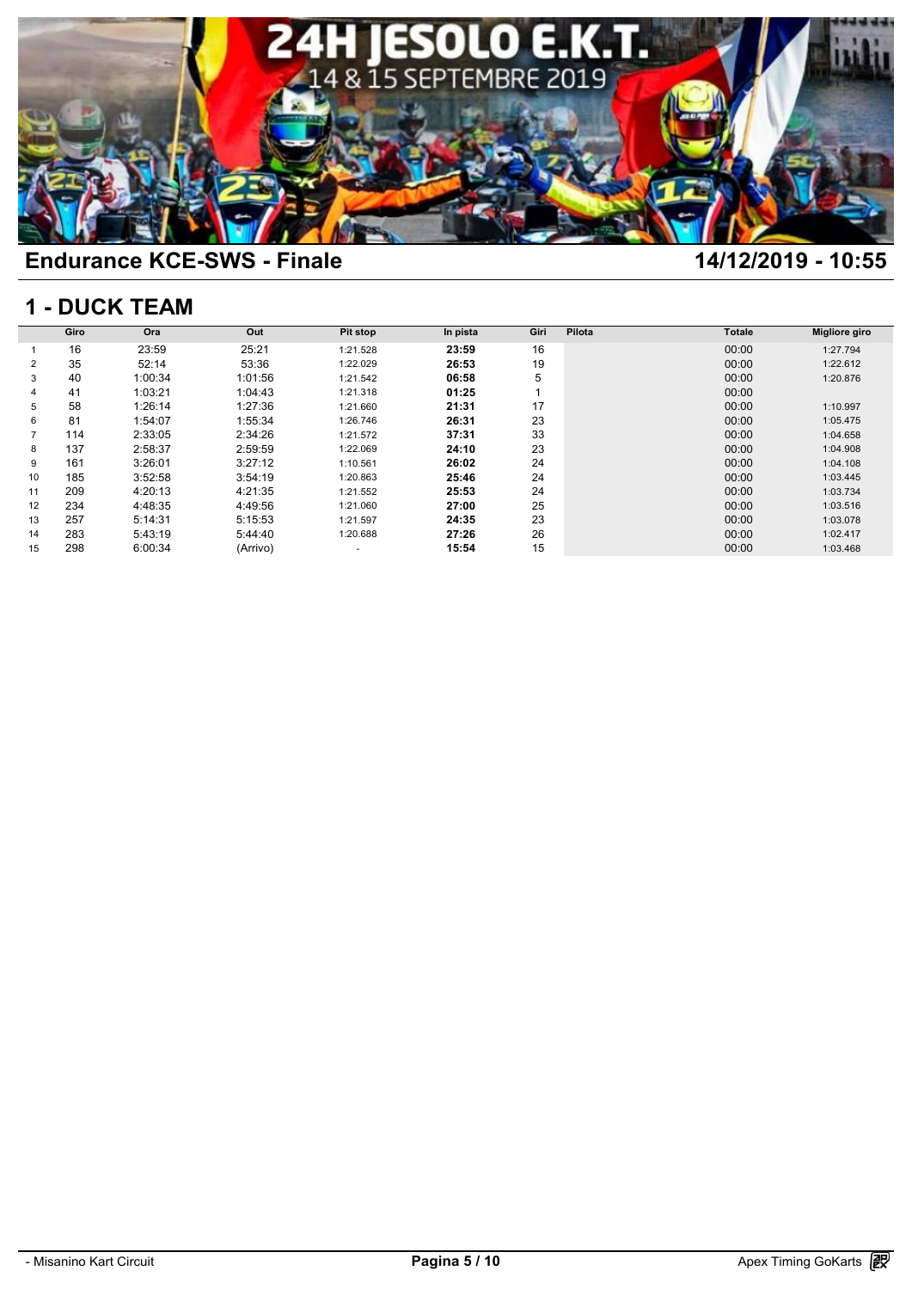

### **1 - DUCK TEAM**

|    | <b>1 - DUCK TEAM</b> |         |          |          |          |      |        |               |               |  |  |  |  |
|----|----------------------|---------|----------|----------|----------|------|--------|---------------|---------------|--|--|--|--|
|    | Giro                 | Ora     | Out      | Pit stop | In pista | Giri | Pilota | <b>Totale</b> | Migliore giro |  |  |  |  |
|    | 16                   | 23:59   | 25:21    | 1:21.528 | 23:59    | 16   |        | 00:00         | 1:27.794      |  |  |  |  |
| 2  | 35                   | 52:14   | 53:36    | 1:22.029 | 26:53    | 19   |        | 00:00         | 1:22.612      |  |  |  |  |
| 3  | 40                   | 1:00:34 | 1:01:56  | 1:21.542 | 06:58    | 5    |        | 00:00         | 1:20.876      |  |  |  |  |
| 4  | 41                   | 1:03:21 | 1:04:43  | 1:21.318 | 01:25    |      |        | 00:00         |               |  |  |  |  |
| 5  | 58                   | 1:26:14 | 1:27:36  | 1:21.660 | 21:31    | 17   |        | 00:00         | 1:10.997      |  |  |  |  |
| 6  | 81                   | 1:54:07 | 1:55:34  | 1:26.746 | 26:31    | 23   |        | 00:00         | 1:05.475      |  |  |  |  |
|    | 114                  | 2:33:05 | 2:34:26  | 1:21.572 | 37:31    | 33   |        | 00:00         | 1:04.658      |  |  |  |  |
| 8  | 137                  | 2:58:37 | 2:59:59  | 1:22.069 | 24:10    | 23   |        | 00:00         | 1:04.908      |  |  |  |  |
| 9  | 161                  | 3:26:01 | 3:27:12  | 1:10.561 | 26:02    | 24   |        | 00:00         | 1:04.108      |  |  |  |  |
| 10 | 185                  | 3:52:58 | 3:54:19  | 1:20.863 | 25:46    | 24   |        | 00:00         | 1:03.445      |  |  |  |  |
| 11 | 209                  | 4:20:13 | 4:21:35  | 1:21.552 | 25:53    | 24   |        | 00:00         | 1:03.734      |  |  |  |  |
| 12 | 234                  | 4:48:35 | 4:49:56  | 1:21.060 | 27:00    | 25   |        | 00:00         | 1:03.516      |  |  |  |  |
| 13 | 257                  | 5:14:31 | 5:15:53  | 1:21.597 | 24:35    | 23   |        | 00:00         | 1:03.078      |  |  |  |  |
| 14 | 283                  | 5:43:19 | 5:44:40  | 1:20.688 | 27:26    | 26   |        | 00:00         | 1:02.417      |  |  |  |  |
| 15 | 298                  | 6:00:34 | (Arrivo) | $\sim$   | 15:54    | 15   |        | 00:00         | 1:03.468      |  |  |  |  |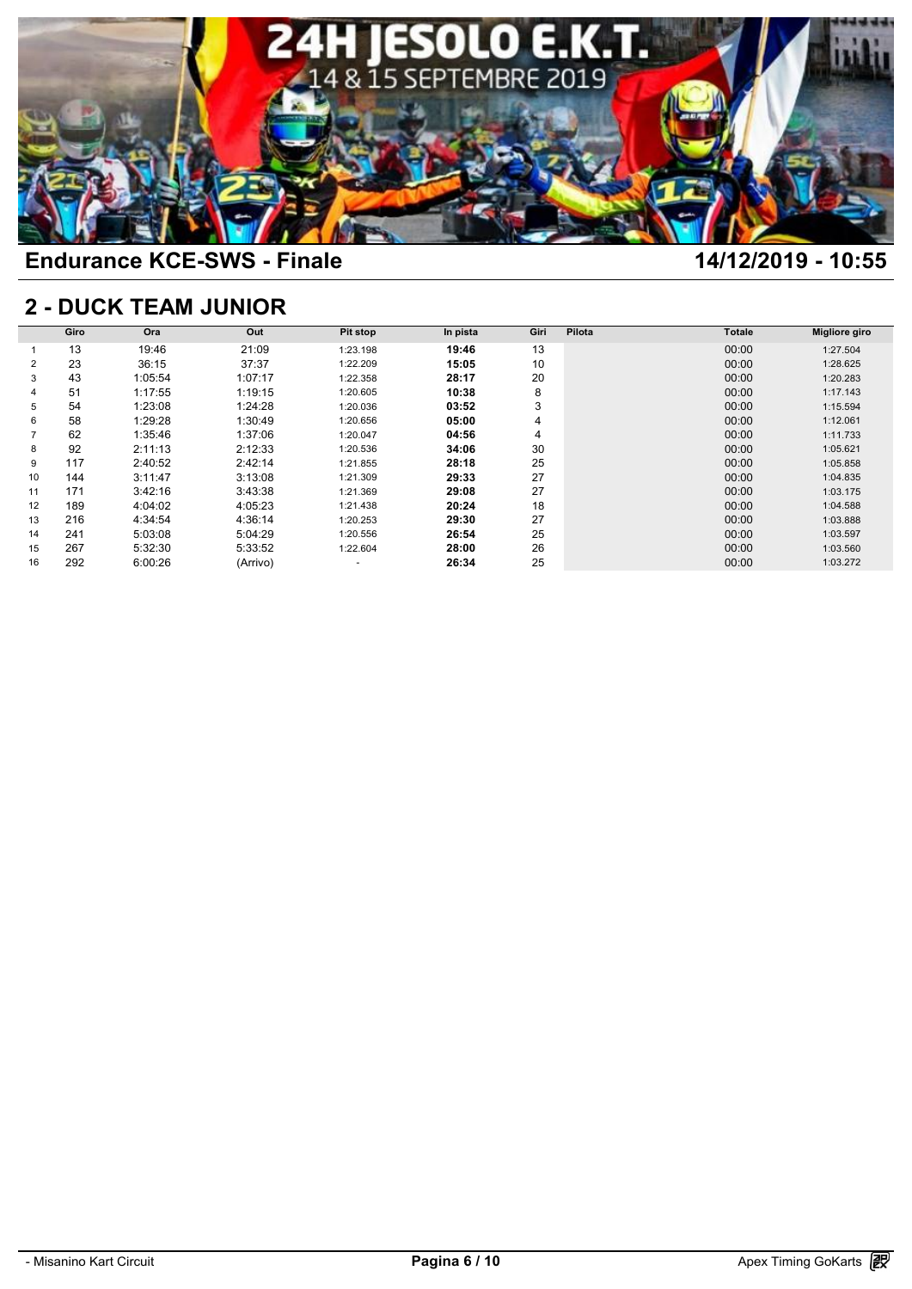

## **2 - DUCK TEAM JUNIOR**

|    | <b>2 - DUCK TEAM JUNIOR</b> |         |          |          |          |      |        |               |               |  |  |  |  |
|----|-----------------------------|---------|----------|----------|----------|------|--------|---------------|---------------|--|--|--|--|
|    | Giro                        | Ora     | Out      | Pit stop | In pista | Giri | Pilota | <b>Totale</b> | Migliore giro |  |  |  |  |
|    | 13                          | 19:46   | 21:09    | 1:23.198 | 19:46    | 13   |        | 00:00         | 1:27.504      |  |  |  |  |
| 2  | 23                          | 36:15   | 37:37    | 1:22.209 | 15:05    | 10   |        | 00:00         | 1:28.625      |  |  |  |  |
| 3  | 43                          | 1:05:54 | 1:07:17  | 1:22.358 | 28:17    | 20   |        | 00:00         | 1:20.283      |  |  |  |  |
|    | 51                          | 1:17:55 | 1:19:15  | 1:20.605 | 10:38    | 8    |        | 00:00         | 1:17.143      |  |  |  |  |
| 5  | 54                          | 1:23:08 | 1:24:28  | 1:20.036 | 03:52    | 3    |        | 00:00         | 1:15.594      |  |  |  |  |
| 6  | 58                          | 1:29:28 | 1:30:49  | 1:20.656 | 05:00    | 4    |        | 00:00         | 1:12.061      |  |  |  |  |
|    | 62                          | 1:35:46 | 1:37:06  | 1:20.047 | 04:56    | 4    |        | 00:00         | 1:11.733      |  |  |  |  |
| 8  | 92                          | 2:11:13 | 2:12:33  | 1:20.536 | 34:06    | 30   |        | 00:00         | 1:05.621      |  |  |  |  |
| 9  | 117                         | 2:40:52 | 2:42:14  | 1:21.855 | 28:18    | 25   |        | 00:00         | 1:05.858      |  |  |  |  |
| 10 | 144                         | 3:11:47 | 3:13:08  | 1:21.309 | 29:33    | 27   |        | 00:00         | 1:04.835      |  |  |  |  |
| 11 | 171                         | 3:42:16 | 3:43:38  | 1:21.369 | 29:08    | 27   |        | 00:00         | 1:03.175      |  |  |  |  |
| 12 | 189                         | 4:04:02 | 4:05:23  | 1:21.438 | 20:24    | 18   |        | 00:00         | 1:04.588      |  |  |  |  |
| 13 | 216                         | 4:34:54 | 4:36:14  | 1:20.253 | 29:30    | 27   |        | 00:00         | 1:03.888      |  |  |  |  |
| 14 | 241                         | 5:03:08 | 5:04:29  | 1:20.556 | 26:54    | 25   |        | 00:00         | 1:03.597      |  |  |  |  |
| 15 | 267                         | 5:32:30 | 5:33:52  | 1:22.604 | 28:00    | 26   |        | 00:00         | 1:03.560      |  |  |  |  |
| 16 | 292                         | 6:00:26 | (Arrivo) | ۰        | 26:34    | 25   |        | 00:00         | 1:03.272      |  |  |  |  |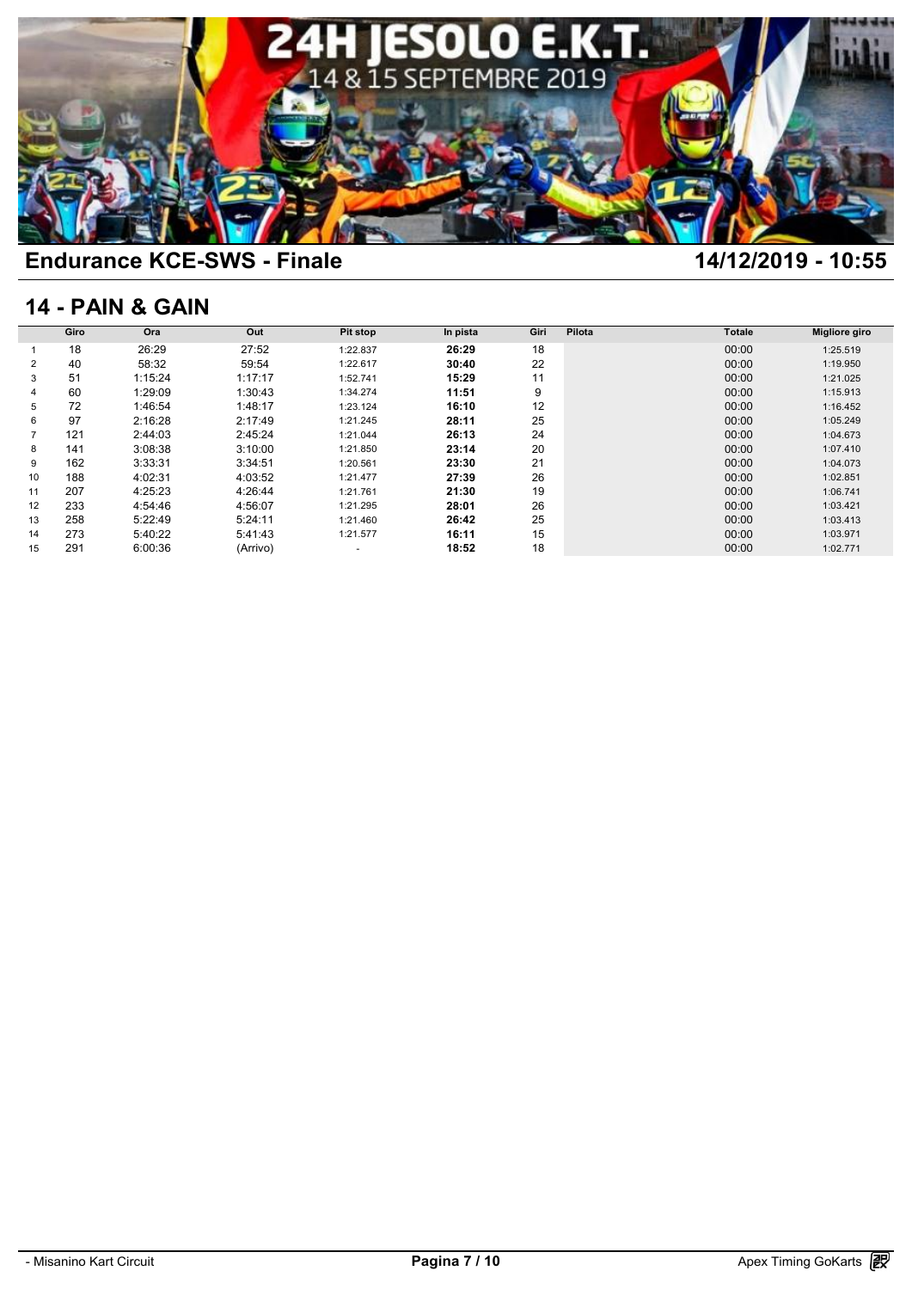

## **14 - PAIN & GAIN**

|    | <b>14 - PAIN &amp; GAIN</b> |         |          |          |          |      |        |               |               |  |  |  |  |
|----|-----------------------------|---------|----------|----------|----------|------|--------|---------------|---------------|--|--|--|--|
|    | Giro                        | Ora     | Out      | Pit stop | In pista | Giri | Pilota | <b>Totale</b> | Migliore giro |  |  |  |  |
|    | 18                          | 26:29   | 27:52    | 1:22.837 | 26:29    | 18   |        | 00:00         | 1:25.519      |  |  |  |  |
| 2  | 40                          | 58:32   | 59:54    | 1:22.617 | 30:40    | 22   |        | 00:00         | 1:19.950      |  |  |  |  |
| 3  | 51                          | 1:15:24 | 1:17:17  | 1:52.741 | 15:29    | 11   |        | 00:00         | 1:21.025      |  |  |  |  |
| 4  | 60                          | 1:29:09 | 1:30:43  | 1:34.274 | 11:51    | 9    |        | 00:00         | 1:15.913      |  |  |  |  |
| 5  | 72                          | 1:46:54 | 1:48:17  | 1:23.124 | 16:10    | 12   |        | 00:00         | 1:16.452      |  |  |  |  |
| 6  | 97                          | 2:16:28 | 2:17:49  | 1:21.245 | 28:11    | 25   |        | 00:00         | 1:05.249      |  |  |  |  |
|    | 121                         | 2:44:03 | 2:45:24  | 1:21.044 | 26:13    | 24   |        | 00:00         | 1:04.673      |  |  |  |  |
| 8  | 141                         | 3:08:38 | 3:10:00  | 1:21.850 | 23:14    | 20   |        | 00:00         | 1:07.410      |  |  |  |  |
| 9  | 162                         | 3:33:31 | 3:34:51  | 1:20.561 | 23:30    | 21   |        | 00:00         | 1:04.073      |  |  |  |  |
| 10 | 188                         | 4:02:31 | 4:03:52  | 1:21.477 | 27:39    | 26   |        | 00:00         | 1:02.851      |  |  |  |  |
| 11 | 207                         | 4:25:23 | 4:26:44  | 1:21.761 | 21:30    | 19   |        | 00:00         | 1:06.741      |  |  |  |  |
| 12 | 233                         | 4:54:46 | 4:56:07  | 1:21.295 | 28:01    | 26   |        | 00:00         | 1:03.421      |  |  |  |  |
| 13 | 258                         | 5:22:49 | 5:24:11  | 1:21.460 | 26:42    | 25   |        | 00:00         | 1:03.413      |  |  |  |  |
| 14 | 273                         | 5:40:22 | 5:41:43  | 1:21.577 | 16:11    | 15   |        | 00:00         | 1:03.971      |  |  |  |  |
| 15 | 291                         | 6:00:36 | (Arrivo) | $\sim$   | 18:52    | 18   |        | 00:00         | 1:02.771      |  |  |  |  |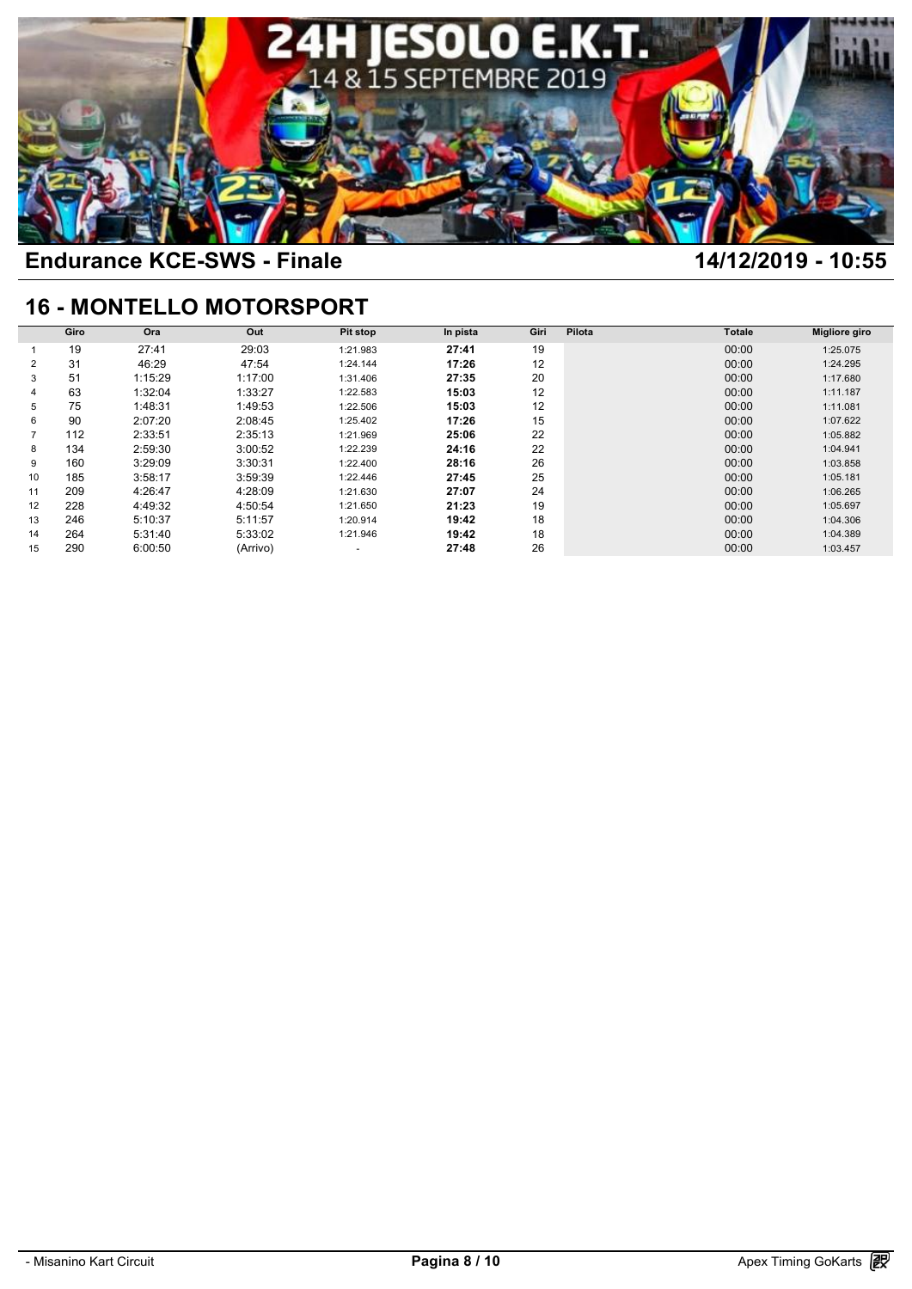

## **16 - MONTELLO MOTORSPORT**

|    | <b>16 - MONTELLO MOTORSPORT</b> |         |          |          |          |      |        |               |               |  |  |  |  |
|----|---------------------------------|---------|----------|----------|----------|------|--------|---------------|---------------|--|--|--|--|
|    | Giro                            | Ora     | Out      | Pit stop | In pista | Giri | Pilota | <b>Totale</b> | Migliore giro |  |  |  |  |
|    | 19                              | 27:41   | 29:03    | 1:21.983 | 27:41    | 19   |        | 00:00         | 1:25.075      |  |  |  |  |
| 2  | 31                              | 46:29   | 47:54    | 1:24.144 | 17:26    | 12   |        | 00:00         | 1:24.295      |  |  |  |  |
| 3  | 51                              | 1:15:29 | 1:17:00  | 1:31.406 | 27:35    | 20   |        | 00:00         | 1:17.680      |  |  |  |  |
| 4  | 63                              | 1:32:04 | 1:33:27  | 1:22.583 | 15:03    | 12   |        | 00:00         | 1:11.187      |  |  |  |  |
| 5  | 75                              | 1:48:31 | 1:49:53  | 1:22.506 | 15:03    | 12   |        | 00:00         | 1:11.081      |  |  |  |  |
| 6  | 90                              | 2:07:20 | 2:08:45  | 1:25.402 | 17:26    | 15   |        | 00:00         | 1:07.622      |  |  |  |  |
|    | 112                             | 2:33:51 | 2:35:13  | 1:21.969 | 25:06    | 22   |        | 00:00         | 1:05.882      |  |  |  |  |
| 8  | 134                             | 2:59:30 | 3:00:52  | 1:22.239 | 24:16    | 22   |        | 00:00         | 1:04.941      |  |  |  |  |
| 9  | 160                             | 3:29:09 | 3:30:31  | 1:22.400 | 28:16    | 26   |        | 00:00         | 1:03.858      |  |  |  |  |
| 10 | 185                             | 3:58:17 | 3:59:39  | 1:22.446 | 27:45    | 25   |        | 00:00         | 1:05.181      |  |  |  |  |
| 11 | 209                             | 4:26:47 | 4:28:09  | 1:21.630 | 27:07    | 24   |        | 00:00         | 1:06.265      |  |  |  |  |
| 12 | 228                             | 4:49:32 | 4:50:54  | 1:21.650 | 21:23    | 19   |        | 00:00         | 1:05.697      |  |  |  |  |
| 13 | 246                             | 5:10:37 | 5:11:57  | 1:20.914 | 19:42    | 18   |        | 00:00         | 1:04.306      |  |  |  |  |
| 14 | 264                             | 5:31:40 | 5:33:02  | 1:21.946 | 19:42    | 18   |        | 00:00         | 1:04.389      |  |  |  |  |
| 15 | 290                             | 6:00:50 | (Arrivo) | $\sim$   | 27:48    | 26   |        | 00:00         | 1:03.457      |  |  |  |  |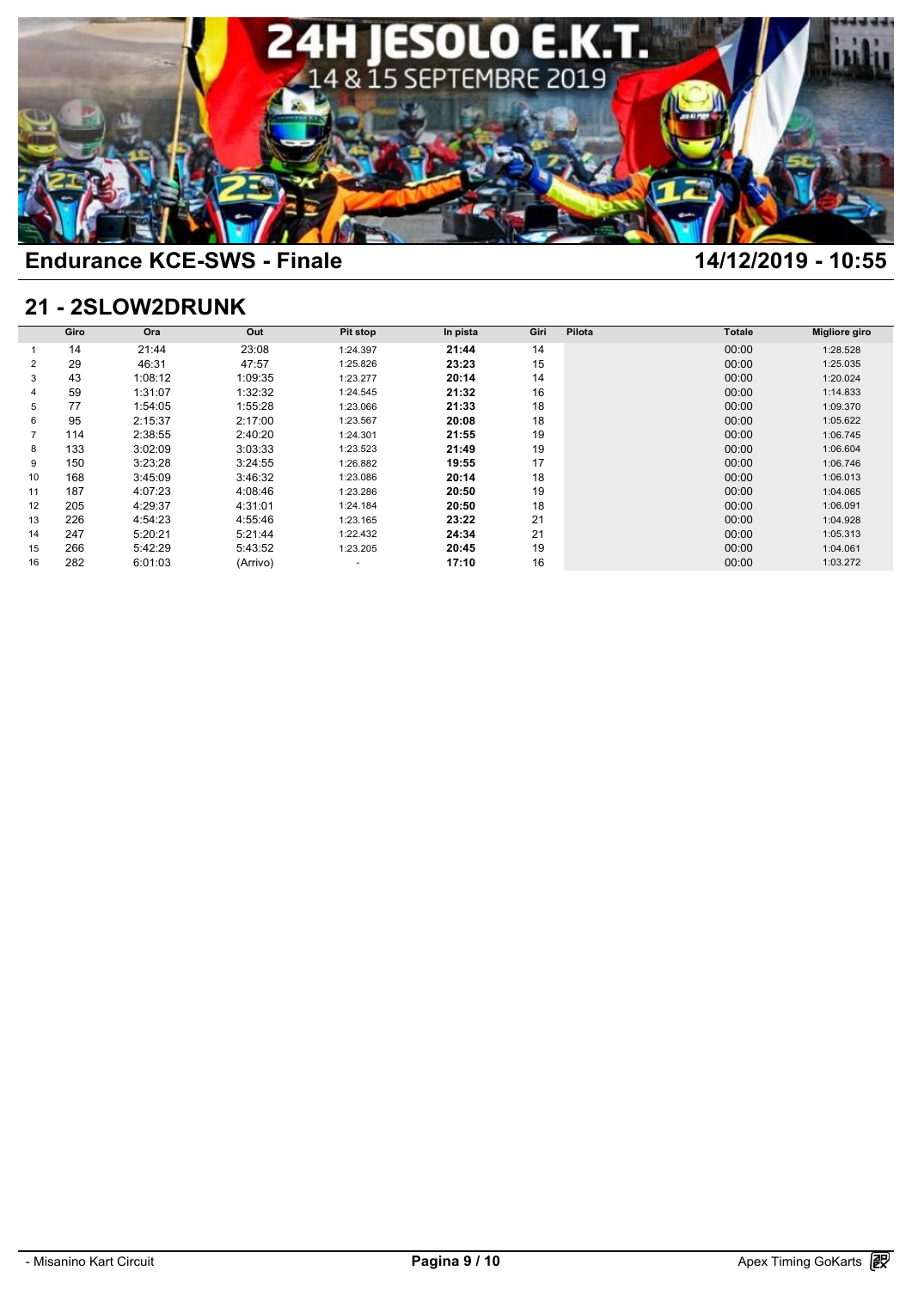

## **21 - 2SLOW2DRUNK**

|    | 21 - 2SLOW2DRUNK |         |          |                 |          |      |        |               |               |  |  |  |  |
|----|------------------|---------|----------|-----------------|----------|------|--------|---------------|---------------|--|--|--|--|
|    | Giro             | Ora     | Out      | <b>Pit stop</b> | In pista | Giri | Pilota | <b>Totale</b> | Migliore giro |  |  |  |  |
|    | 14               | 21:44   | 23:08    | 1:24.397        | 21:44    | 14   |        | 00:00         | 1:28.528      |  |  |  |  |
| 2  | 29               | 46:31   | 47:57    | 1:25.826        | 23:23    | 15   |        | 00:00         | 1:25.035      |  |  |  |  |
| 3  | 43               | 1:08:12 | 1:09:35  | 1:23.277        | 20:14    | 14   |        | 00:00         | 1:20.024      |  |  |  |  |
|    | 59               | 1:31:07 | 1:32:32  | 1:24.545        | 21:32    | 16   |        | 00:00         | 1:14.833      |  |  |  |  |
| 5  | 77               | 1:54:05 | 1:55:28  | 1:23.066        | 21:33    | 18   |        | 00:00         | 1:09.370      |  |  |  |  |
| 6  | 95               | 2:15:37 | 2:17:00  | 1:23.567        | 20:08    | 18   |        | 00:00         | 1:05.622      |  |  |  |  |
|    | 114              | 2:38:55 | 2:40:20  | 1:24.301        | 21:55    | 19   |        | 00:00         | 1:06.745      |  |  |  |  |
| 8  | 133              | 3:02:09 | 3:03:33  | 1:23.523        | 21:49    | 19   |        | 00:00         | 1:06.604      |  |  |  |  |
| 9  | 150              | 3:23:28 | 3:24:55  | 1:26.882        | 19:55    | 17   |        | 00:00         | 1:06.746      |  |  |  |  |
| 10 | 168              | 3:45:09 | 3:46:32  | 1:23.086        | 20:14    | 18   |        | 00:00         | 1:06.013      |  |  |  |  |
| 11 | 187              | 4:07:23 | 4:08:46  | 1:23.286        | 20:50    | 19   |        | 00:00         | 1:04.065      |  |  |  |  |
| 12 | 205              | 4:29:37 | 4:31:01  | 1:24.184        | 20:50    | 18   |        | 00:00         | 1:06.091      |  |  |  |  |
| 13 | 226              | 4:54:23 | 4:55:46  | 1:23.165        | 23:22    | 21   |        | 00:00         | 1:04.928      |  |  |  |  |
| 14 | 247              | 5:20:21 | 5:21:44  | 1:22.432        | 24:34    | 21   |        | 00:00         | 1:05.313      |  |  |  |  |
| 15 | 266              | 5:42:29 | 5:43:52  | 1:23.205        | 20:45    | 19   |        | 00:00         | 1:04.061      |  |  |  |  |
| 16 | 282              | 6:01:03 | (Arrivo) | ۰               | 17:10    | 16   |        | 00:00         | 1:03.272      |  |  |  |  |